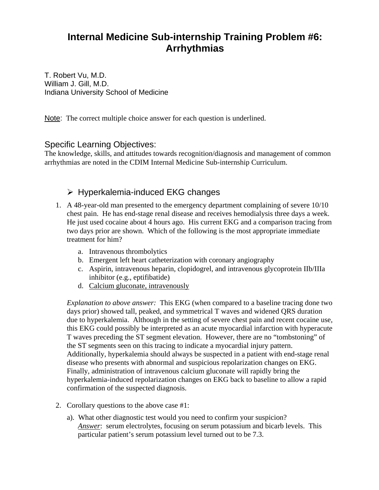# **Internal Medicine Sub-internship Training Problem #6: Arrhythmias**

T. Robert Vu, M.D. William J. Gill, M.D. Indiana University School of Medicine

Note: The correct multiple choice answer for each question is underlined.

#### Specific Learning Objectives:

The knowledge, skills, and attitudes towards recognition/diagnosis and management of common arrhythmias are noted in the CDIM Internal Medicine Sub-internship Curriculum.

## $\triangleright$  Hyperkalemia-induced EKG changes

- 1. A 48-year-old man presented to the emergency department complaining of severe 10/10 chest pain. He has end-stage renal disease and receives hemodialysis three days a week. He just used cocaine about 4 hours ago. His current EKG and a comparison tracing from two days prior are shown. Which of the following is the most appropriate immediate treatment for him?
	- a. Intravenous thrombolytics
	- b. Emergent left heart catheterization with coronary angiography
	- c. Aspirin, intravenous heparin, clopidogrel, and intravenous glycoprotein IIb/IIIa inhibitor (e.g., eptifibatide)
	- d. Calcium gluconate, intravenously

*Explanation to above answer:* This EKG (when compared to a baseline tracing done two days prior) showed tall, peaked, and symmetrical T waves and widened QRS duration due to hyperkalemia. Although in the setting of severe chest pain and recent cocaine use, this EKG could possibly be interpreted as an acute myocardial infarction with hyperacute T waves preceding the ST segment elevation. However, there are no "tombstoning" of the ST segments seen on this tracing to indicate a myocardial injury pattern. Additionally, hyperkalemia should always be suspected in a patient with end-stage renal disease who presents with abnormal and suspicious repolarization changes on EKG. Finally, administration of intravenous calcium gluconate will rapidly bring the hyperkalemia-induced repolarization changes on EKG back to baseline to allow a rapid confirmation of the suspected diagnosis.

- 2. Corollary questions to the above case #1:
	- a). What other diagnostic test would you need to confirm your suspicion? *Answer*: serum electrolytes, focusing on serum potassium and bicarb levels. This particular patient's serum potassium level turned out to be 7.3.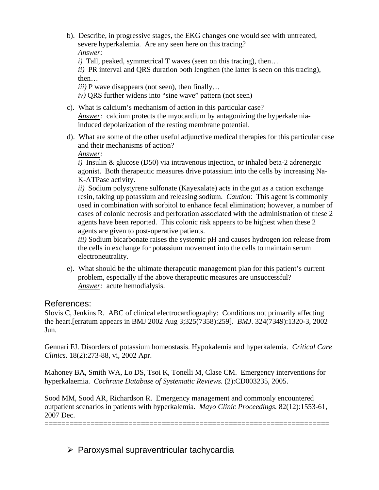b). Describe, in progressive stages, the EKG changes one would see with untreated, severe hyperkalemia. Are any seen here on this tracing? *Answer:* 

*i*) Tall, peaked, symmetrical T waves (seen on this tracing), then...

*ii)* PR interval and QRS duration both lengthen (the latter is seen on this tracing), then…

*iii*) P wave disappears (not seen), then finally...

*iv)* QRS further widens into "sine wave" pattern (not seen)

- c). What is calcium's mechanism of action in this particular case? *Answer:* calcium protects the myocardium by antagonizing the hyperkalemiainduced depolarization of the resting membrane potential.
- d). What are some of the other useful adjunctive medical therapies for this particular case and their mechanisms of action?

*Answer:* 

*i)* Insulin & glucose (D50) via intravenous injection, or inhaled beta-2 adrenergic agonist. Both therapeutic measures drive potassium into the cells by increasing Na-K-ATPase activity.

*ii)* Sodium polystyrene sulfonate (Kayexalate) acts in the gut as a cation exchange resin, taking up potassium and releasing sodium. *Caution*: This agent is commonly used in combination with sorbitol to enhance fecal elimination; however, a number of cases of colonic necrosis and perforation associated with the administration of these 2 agents have been reported. This colonic risk appears to be highest when these 2 agents are given to post-operative patients.

*iii)* Sodium bicarbonate raises the systemic pH and causes hydrogen ion release from the cells in exchange for potassium movement into the cells to maintain serum electroneutrality.

e). What should be the ultimate therapeutic management plan for this patient's current problem, especially if the above therapeutic measures are unsuccessful? *Answer:* acute hemodialysis.

## References:

Slovis C, Jenkins R. ABC of clinical electrocardiography: Conditions not primarily affecting the heart.[erratum appears in BMJ 2002 Aug 3;325(7358):259]. *BMJ*. 324(7349):1320-3, 2002 Jun.

Gennari FJ. Disorders of potassium homeostasis. Hypokalemia and hyperkalemia. *Critical Care Clinics.* 18(2):273-88, vi, 2002 Apr.

Mahoney BA, Smith WA, Lo DS, Tsoi K, Tonelli M, Clase CM. Emergency interventions for hyperkalaemia. *Cochrane Database of Systematic Reviews.* (2):CD003235, 2005.

Sood MM, Sood AR, Richardson R. Emergency management and commonly encountered outpatient scenarios in patients with hyperkalemia. *Mayo Clinic Proceedings.* 82(12):1553-61, 2007 Dec.

====================================================================

 $\triangleright$  Paroxysmal supraventricular tachycardia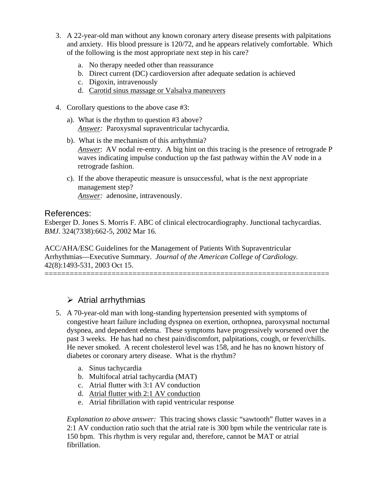- 3. A 22-year-old man without any known coronary artery disease presents with palpitations and anxiety. His blood pressure is 120/72, and he appears relatively comfortable. Which of the following is the most appropriate next step in his care?
	- a. No therapy needed other than reassurance
	- b. Direct current (DC) cardioversion after adequate sedation is achieved
	- c. Digoxin, intravenously
	- d. Carotid sinus massage or Valsalva maneuvers
- 4. Corollary questions to the above case #3:
	- a). What is the rhythm to question #3 above? *Answer:* Paroxysmal supraventricular tachycardia.
	- b). What is the mechanism of this arrhythmia? *Answer*: AV nodal re-entry. A big hint on this tracing is the presence of retrograde P waves indicating impulse conduction up the fast pathway within the AV node in a retrograde fashion.
	- c). If the above therapeutic measure is unsuccessful, what is the next appropriate management step? *Answer:* adenosine, intravenously.

#### References:

Esberger D. Jones S. Morris F. ABC of clinical electrocardiography. Junctional tachycardias. *BMJ.* 324(7338):662-5, 2002 Mar 16.

====================================================================

ACC/AHA/ESC Guidelines for the Management of Patients With Supraventricular Arrhythmias—Executive Summary. *Journal of the American College of Cardiology.*  42(8):1493-531, 2003 Oct 15.

# $\triangleright$  Atrial arrhythmias

- 5. A 70-year-old man with long-standing hypertension presented with symptoms of congestive heart failure including dyspnea on exertion, orthopnea, paroxysmal nocturnal dyspnea, and dependent edema. These symptoms have progressively worsened over the past 3 weeks. He has had no chest pain/discomfort, palpitations, cough, or fever/chills. He never smoked. A recent cholesterol level was 158, and he has no known history of diabetes or coronary artery disease. What is the rhythm?
	- a. Sinus tachycardia
	- b. Multifocal atrial tachycardia (MAT)
	- c. Atrial flutter with 3:1 AV conduction
	- d. Atrial flutter with 2:1 AV conduction
	- e. Atrial fibrillation with rapid ventricular response

*Explanation to above answer:* This tracing shows classic "sawtooth" flutter waves in a 2:1 AV conduction ratio such that the atrial rate is 300 bpm while the ventricular rate is 150 bpm. This rhythm is very regular and, therefore, cannot be MAT or atrial fibrillation.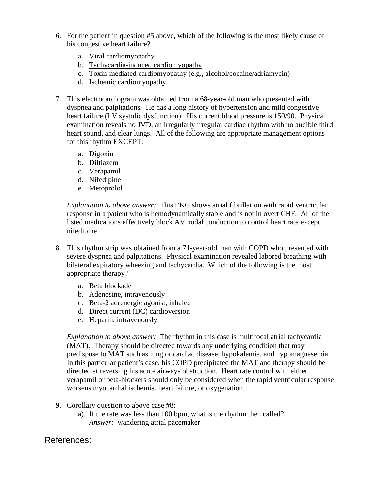- 6. For the patient in question #5 above, which of the following is the most likely cause of his congestive heart failure?
	- a. Viral cardiomyopathy
	- b. Tachycardia-induced cardiomyopathy
	- c. Toxin-mediated cardiomyopathy (e.g., alcohol/cocaine/adriamycin)
	- d. Ischemic cardiomyopathy
- 7. This electrocardiogram was obtained from a 68-year-old man who presented with dyspnea and palpitations. He has a long history of hypertension and mild congestive heart failure (LV systolic dysfunction). His current blood pressure is 150/90. Physical examination reveals no JVD, an irregularly irregular cardiac rhythm with no audible third heart sound, and clear lungs. All of the following are appropriate management options for this rhythm EXCEPT:
	- a. Digoxin
	- b. Diltiazem
	- c. Verapamil
	- d. Nifedipine
	- e. Metoprolol

*Explanation to above answer:* This EKG shows atrial fibrillation with rapid ventricular response in a patient who is hemodynamically stable and is not in overt CHF. All of the listed medications effectively block AV nodal conduction to control heart rate except nifedipine.

- 8. This rhythm strip was obtained from a 71-year-old man with COPD who presented with severe dyspnea and palpitations. Physical examination revealed labored breathing with bilateral expiratory wheezing and tachycardia. Which of the following is the most appropriate therapy?
	- a. Beta blockade
	- b. Adenosine, intravenously
	- c. Beta-2 adrenergic agonist, inhaled
	- d. Direct current (DC) cardioversion
	- e. Heparin, intravenously

*Explanation to above answer:* The rhythm in this case is multifocal atrial tachycardia (MAT). Therapy should be directed towards any underlying condition that may predispose to MAT such as lung or cardiac disease, hypokalemia, and hypomagnesemia. In this particular patient's case, his COPD precipitated the MAT and therapy should be directed at reversing his acute airways obstruction. Heart rate control with either verapamil or beta-blockers should only be considered when the rapid ventricular response worsens myocardial ischemia, heart failure, or oxygenation.

- 9. Corollary question to above case #8:
	- a). If the rate was less than 100 bpm, what is the rhythm then called? *Answer:* wandering atrial pacemaker

#### References: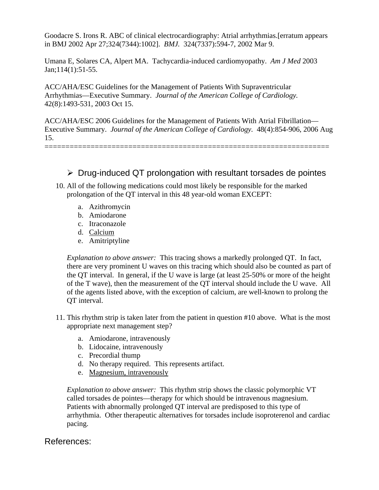Goodacre S. Irons R. ABC of clinical electrocardiography: Atrial arrhythmias.[erratum appears in BMJ 2002 Apr 27;324(7344):1002]. *BMJ.* 324(7337):594-7, 2002 Mar 9.

Umana E, Solares CA, Alpert MA. Tachycardia-induced cardiomyopathy. *Am J Med* 2003 Jan;114(1):51-55.

ACC/AHA/ESC Guidelines for the Management of Patients With Supraventricular Arrhythmias—Executive Summary. *Journal of the American College of Cardiology.* 42(8):1493-531, 2003 Oct 15.

ACC/AHA/ESC 2006 Guidelines for the Management of Patients With Atrial Fibrillation— Executive Summary. *Journal of the American College of Cardiology.* 48(4):854-906, 2006 Aug 15.

====================================================================

 $\triangleright$  Drug-induced QT prolongation with resultant torsades de pointes

- 10. All of the following medications could most likely be responsible for the marked prolongation of the QT interval in this 48 year-old woman EXCEPT:
	- a. Azithromycin
	- b. Amiodarone
	- c. Itraconazole
	- d. Calcium
	- e. Amitriptyline

*Explanation to above answer:* This tracing shows a markedly prolonged QT. In fact, there are very prominent U waves on this tracing which should also be counted as part of the QT interval. In general, if the U wave is large (at least 25-50% or more of the height of the T wave), then the measurement of the QT interval should include the U wave. All of the agents listed above, with the exception of calcium, are well-known to prolong the QT interval.

- 11. This rhythm strip is taken later from the patient in question #10 above. What is the most appropriate next management step?
	- a. Amiodarone, intravenously
	- b. Lidocaine, intravenously
	- c. Precordial thump
	- d. No therapy required. This represents artifact.
	- e. Magnesium, intravenously

*Explanation to above answer:* This rhythm strip shows the classic polymorphic VT called torsades de pointes—therapy for which should be intravenous magnesium. Patients with abnormally prolonged QT interval are predisposed to this type of arrhythmia. Other therapeutic alternatives for torsades include isoproterenol and cardiac pacing.

#### References: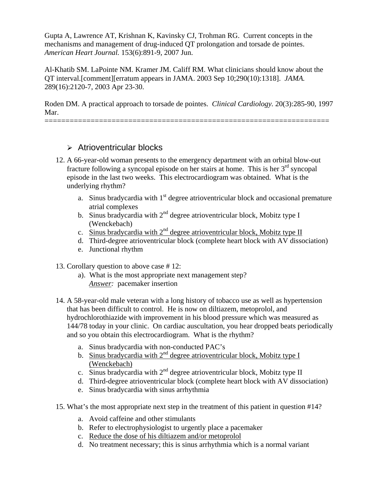Gupta A, Lawrence AT, Krishnan K, Kavinsky CJ, Trohman RG. Current concepts in the mechanisms and management of drug-induced QT prolongation and torsade de pointes. *American Heart Journal.* 153(6):891-9, 2007 Jun.

Al-Khatib SM. LaPointe NM. Kramer JM. Califf RM. What clinicians should know about the QT interval.[comment][erratum appears in JAMA. 2003 Sep 10;290(10):1318]. *JAMA.*  289(16):2120-7, 2003 Apr 23-30.

Roden DM. A practical approach to torsade de pointes. *Clinical Cardiology.* 20(3):285-90, 1997 Mar.

====================================================================

#### $\triangleright$  Atrioventricular blocks

- 12. A 66-year-old woman presents to the emergency department with an orbital blow-out fracture following a syncopal episode on her stairs at home. This is her  $3<sup>rd</sup>$  syncopal episode in the last two weeks. This electrocardiogram was obtained. What is the underlying rhythm?
	- a. Sinus bradycardia with  $1<sup>st</sup>$  degree atrioventricular block and occasional premature atrial complexes
	- b. Sinus bradycardia with  $2<sup>nd</sup>$  degree atrioventricular block, Mobitz type I (Wenckebach)
	- c. Sinus bradycardia with  $2<sup>nd</sup>$  degree atrioventricular block, Mobitz type II
	- d. Third-degree atrioventricular block (complete heart block with AV dissociation)
	- e. Junctional rhythm
- 13. Corollary question to above case # 12:
	- a). What is the most appropriate next management step? *Answer:* pacemaker insertion
- 14. A 58-year-old male veteran with a long history of tobacco use as well as hypertension that has been difficult to control. He is now on diltiazem, metoprolol, and hydrochlorothiazide with improvement in his blood pressure which was measured as 144/78 today in your clinic. On cardiac auscultation, you hear dropped beats periodically and so you obtain this electrocardiogram. What is the rhythm?
	- a. Sinus bradycardia with non-conducted PAC's
	- b. Sinus bradycardia with  $2^{nd}$  degree atrioventricular block, Mobitz type I (Wenckebach)
	- c. Sinus bradycardia with  $2<sup>nd</sup>$  degree atrioventricular block, Mobitz type II
	- d. Third-degree atrioventricular block (complete heart block with AV dissociation)
	- e. Sinus bradycardia with sinus arrhythmia
- 15. What's the most appropriate next step in the treatment of this patient in question #14?
	- a. Avoid caffeine and other stimulants
	- b. Refer to electrophysiologist to urgently place a pacemaker
	- c. Reduce the dose of his diltiazem and/or metoprolol
	- d. No treatment necessary; this is sinus arrhythmia which is a normal variant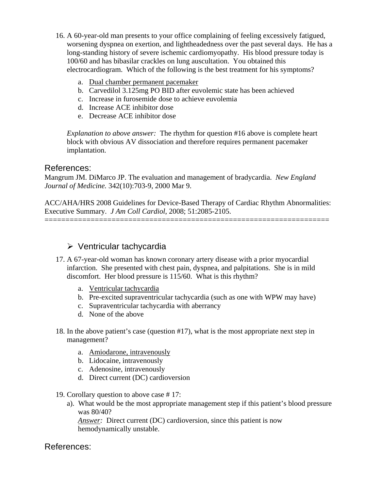- 16. A 60-year-old man presents to your office complaining of feeling excessively fatigued, worsening dyspnea on exertion, and lightheadedness over the past several days. He has a long-standing history of severe ischemic cardiomyopathy. His blood pressure today is 100/60 and has bibasilar crackles on lung auscultation. You obtained this electrocardiogram. Which of the following is the best treatment for his symptoms?
	- a. Dual chamber permanent pacemaker
	- b. Carvedilol 3.125mg PO BID after euvolemic state has been achieved
	- c. Increase in furosemide dose to achieve euvolemia
	- d. Increase ACE inhibitor dose
	- e. Decrease ACE inhibitor dose

*Explanation to above answer:* The rhythm for question #16 above is complete heart block with obvious AV dissociation and therefore requires permanent pacemaker implantation.

#### References:

Mangrum JM. DiMarco JP. The evaluation and management of bradycardia. *New England Journal of Medicine.* 342(10):703-9, 2000 Mar 9.

ACC/AHA/HRS 2008 Guidelines for Device-Based Therapy of Cardiac Rhythm Abnormalities: Executive Summary. *J Am Coll Cardiol*, 2008; 51:2085-2105.

====================================================================

## $\triangleright$  Ventricular tachycardia

- 17. A 67-year-old woman has known coronary artery disease with a prior myocardial infarction. She presented with chest pain, dyspnea, and palpitations. She is in mild discomfort. Her blood pressure is 115/60. What is this rhythm?
	- a. Ventricular tachycardia
	- b. Pre-excited supraventricular tachycardia (such as one with WPW may have)
	- c. Supraventricular tachycardia with aberrancy
	- d. None of the above
- 18. In the above patient's case (question #17), what is the most appropriate next step in management?
	- a. Amiodarone, intravenously
	- b. Lidocaine, intravenously
	- c. Adenosine, intravenously
	- d. Direct current (DC) cardioversion
- 19. Corollary question to above case # 17:
	- a). What would be the most appropriate management step if this patient's blood pressure was 80/40?

*Answer:* Direct current (DC) cardioversion, since this patient is now hemodynamically unstable.

#### References: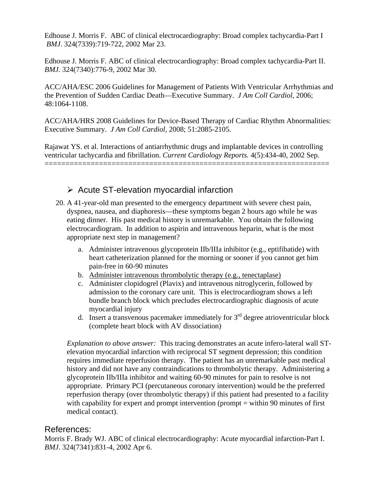Edhouse J. Morris F. ABC of clinical electrocardiography: Broad complex tachycardia-Part I  *BMJ*. 324(7339):719-722, 2002 Mar 23.

Edhouse J. Morris F. ABC of clinical electrocardiography: Broad complex tachycardia-Part II. *BMJ.* 324(7340):776-9, 2002 Mar 30.

ACC/AHA/ESC 2006 Guidelines for Management of Patients With Ventricular Arrhythmias and the Prevention of Sudden Cardiac Death—Executive Summary. *J Am Coll Cardiol*, 2006; 48:1064-1108.

ACC/AHA/HRS 2008 Guidelines for Device-Based Therapy of Cardiac Rhythm Abnormalities: Executive Summary. *J Am Coll Cardiol*, 2008; 51:2085-2105.

Rajawat YS. et al. Interactions of antiarrhythmic drugs and implantable devices in controlling ventricular tachycardia and fibrillation. *Current Cardiology Reports.* 4(5):434-40, 2002 Sep. ====================================================================

# $\triangleright$  Acute ST-elevation myocardial infarction

- 20. A 41-year-old man presented to the emergency department with severe chest pain, dyspnea, nausea, and diaphoresis—these symptoms began 2 hours ago while he was eating dinner. His past medical history is unremarkable. You obtain the following electrocardiogram. In addition to aspirin and intravenous heparin, what is the most appropriate next step in management?
	- a. Administer intravenous glycoprotein IIb/IIIa inhibitor (e.g., eptifibatide) with heart catheterization planned for the morning or sooner if you cannot get him pain-free in 60-90 minutes
	- b. Administer intravenous thrombolytic therapy (e.g., tenectaplase)
	- c. Administer clopidogrel (Plavix) and intravenous nitroglycerin, followed by admission to the coronary care unit. This is electrocardiogram shows a left bundle branch block which precludes electrocardiographic diagnosis of acute myocardial injury
	- d. Insert a transvenous pacemaker immediately for  $3<sup>rd</sup>$  degree atrioventricular block (complete heart block with AV dissociation)

*Explanation to above answer:* This tracing demonstrates an acute infero-lateral wall STelevation myocardial infarction with reciprocal ST segment depression; this condition requires immediate reperfusion therapy. The patient has an unremarkable past medical history and did not have any contraindications to thrombolytic therapy. Administering a glycoprotein IIb/IIIa inhibitor and waiting 60-90 minutes for pain to resolve is not appropriate. Primary PCI (percutaneous coronary intervention) would be the preferred reperfusion therapy (over thrombolytic therapy) if this patient had presented to a facility with capability for expert and prompt intervention (prompt = within 90 minutes of first medical contact).

#### References:

Morris F. Brady WJ. ABC of clinical electrocardiography: Acute myocardial infarction-Part I. *BMJ.* 324(7341):831-4, 2002 Apr 6.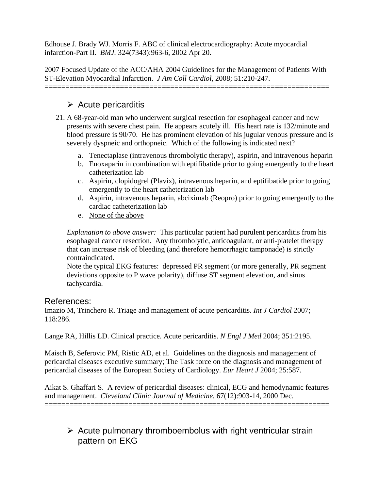Edhouse J. Brady WJ. Morris F. ABC of clinical electrocardiography: Acute myocardial infarction-Part II. *BMJ.* 324(7343):963-6, 2002 Apr 20.

2007 Focused Update of the ACC/AHA 2004 Guidelines for the Management of Patients With ST-Elevation Myocardial Infarction. *J Am Coll Cardiol*, 2008; 51:210-247. ====================================================================

# $\triangleright$  Acute pericarditis

- 21. A 68-year-old man who underwent surgical resection for esophageal cancer and now presents with severe chest pain. He appears acutely ill. His heart rate is 132/minute and blood pressure is 90/70. He has prominent elevation of his jugular venous pressure and is severely dyspneic and orthopneic. Which of the following is indicated next?
	- a. Tenectaplase (intravenous thrombolytic therapy), aspirin, and intravenous heparin
	- b. Enoxaparin in combination with eptifibatide prior to going emergently to the heart catheterization lab
	- c. Aspirin, clopidogrel (Plavix), intravenous heparin, and eptifibatide prior to going emergently to the heart catheterization lab
	- d. Aspirin, intravenous heparin, abciximab (Reopro) prior to going emergently to the cardiac catheterization lab
	- e. None of the above

*Explanation to above answer:* This particular patient had purulent pericarditis from his esophageal cancer resection. Any thrombolytic, anticoagulant, or anti-platelet therapy that can increase risk of bleeding (and therefore hemorrhagic tamponade) is strictly contraindicated.

Note the typical EKG features: depressed PR segment (or more generally, PR segment deviations opposite to P wave polarity), diffuse ST segment elevation, and sinus tachycardia.

#### References:

Imazio M, Trinchero R. Triage and management of acute pericarditis. *Int J Cardiol* 2007; 118:286.

Lange RA, Hillis LD. Clinical practice. Acute pericarditis. *N Engl J Med* 2004; 351:2195.

Maisch B, Seferovic PM, Ristic AD, et al. Guidelines on the diagnosis and management of pericardial diseases executive summary; The Task force on the diagnosis and management of pericardial diseases of the European Society of Cardiology. *Eur Heart J* 2004; 25:587.

Aikat S. Ghaffari S. A review of pericardial diseases: clinical, ECG and hemodynamic features and management. *Cleveland Clinic Journal of Medicine.* 67(12):903-14, 2000 Dec. ====================================================================

 $\triangleright$  Acute pulmonary thromboembolus with right ventricular strain pattern on EKG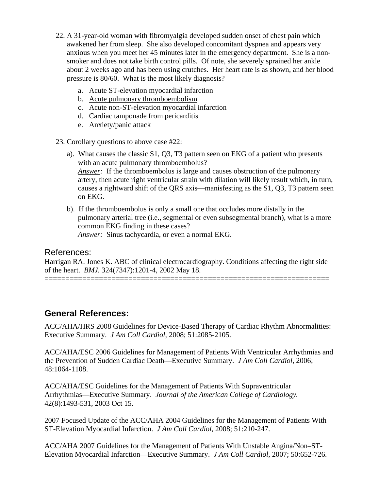- 22. A 31-year-old woman with fibromyalgia developed sudden onset of chest pain which awakened her from sleep. She also developed concomitant dyspnea and appears very anxious when you meet her 45 minutes later in the emergency department. She is a nonsmoker and does not take birth control pills. Of note, she severely sprained her ankle about 2 weeks ago and has been using crutches. Her heart rate is as shown, and her blood pressure is 80/60. What is the most likely diagnosis?
	- a. Acute ST-elevation myocardial infarction
	- b. Acute pulmonary thromboembolism
	- c. Acute non-ST-elevation myocardial infarction
	- d. Cardiac tamponade from pericarditis
	- e. Anxiety/panic attack
- 23. Corollary questions to above case #22:
	- a). What causes the classic S1, Q3, T3 pattern seen on EKG of a patient who presents with an acute pulmonary thromboembolus? *Answer:* If the thromboembolus is large and causes obstruction of the pulmonary artery, then acute right ventricular strain with dilation will likely result which, in turn, causes a rightward shift of the QRS axis—manisfesting as the S1, Q3, T3 pattern seen on EKG.
	- b). If the thromboembolus is only a small one that occludes more distally in the pulmonary arterial tree (i.e., segmental or even subsegmental branch), what is a more common EKG finding in these cases? *Answer:* Sinus tachycardia, or even a normal EKG.

#### References:

Harrigan RA. Jones K. ABC of clinical electrocardiography. Conditions affecting the right side of the heart. *BMJ.* 324(7347):1201-4, 2002 May 18.

====================================================================

## **General References:**

ACC/AHA/HRS 2008 Guidelines for Device-Based Therapy of Cardiac Rhythm Abnormalities: Executive Summary. *J Am Coll Cardiol*, 2008; 51:2085-2105.

ACC/AHA/ESC 2006 Guidelines for Management of Patients With Ventricular Arrhythmias and the Prevention of Sudden Cardiac Death—Executive Summary. *J Am Coll Cardiol*, 2006; 48:1064-1108.

ACC/AHA/ESC Guidelines for the Management of Patients With Supraventricular Arrhythmias—Executive Summary. *Journal of the American College of Cardiology.*  42(8):1493-531, 2003 Oct 15.

2007 Focused Update of the ACC/AHA 2004 Guidelines for the Management of Patients With ST-Elevation Myocardial Infarction. *J Am Coll Cardiol*, 2008; 51:210-247.

ACC/AHA 2007 Guidelines for the Management of Patients With Unstable Angina/Non–ST-Elevation Myocardial Infarction—Executive Summary. *J Am Coll Cardiol*, 2007; 50:652-726.